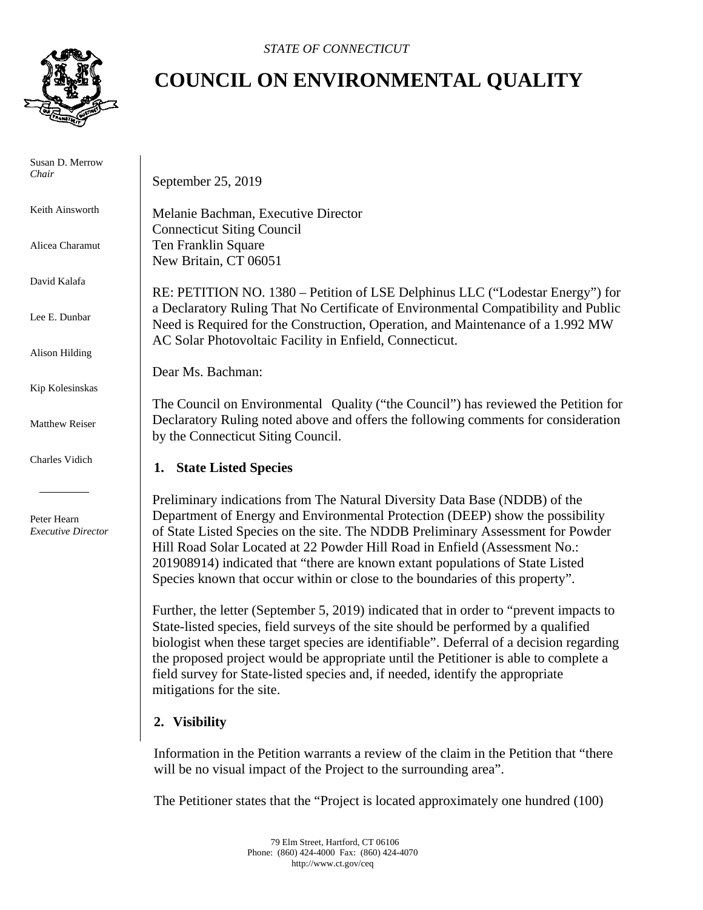

 Susan D. Merrow *Chair* 

Keith Ainsworth

Alicea Charamut

David Kalafa

Lee E. Dunbar

Alison Hilding

Kip Kolesinskas

Matthew Reiser

Charles Vidich

 Peter Hearn  *Executive Director*

## **COUNCIL ON ENVIRONMENTAL QUALITY**

September 25, 2019

Melanie Bachman, Executive Director Connecticut Siting Council Ten Franklin Square New Britain, CT 06051

RE: PETITION NO. 1380 – Petition of LSE Delphinus LLC ("Lodestar Energy") for a Declaratory Ruling That No Certificate of Environmental Compatibility and Public Need is Required for the Construction, Operation, and Maintenance of a 1.992 MW AC Solar Photovoltaic Facility in Enfield, Connecticut.

Dear Ms. Bachman:

The Council on Environmental Quality ("the Council") has reviewed the Petition for Declaratory Ruling noted above and offers the following comments for consideration by the Connecticut Siting Council.

## **1. State Listed Species**

Preliminary indications from The Natural Diversity Data Base (NDDB) of the Department of Energy and Environmental Protection (DEEP) show the possibility of State Listed Species on the site. The NDDB Preliminary Assessment for Powder Hill Road Solar Located at 22 Powder Hill Road in Enfield (Assessment No.: 201908914) indicated that "there are known extant populations of State Listed Species known that occur within or close to the boundaries of this property".

Further, the letter (September 5, 2019) indicated that in order to "prevent impacts to State-listed species, field surveys of the site should be performed by a qualified biologist when these target species are identifiable". Deferral of a decision regarding the proposed project would be appropriate until the Petitioner is able to complete a field survey for State-listed species and, if needed, identify the appropriate mitigations for the site.

## **2. Visibility**

Information in the Petition warrants a review of the claim in the Petition that "there will be no visual impact of the Project to the surrounding area".

The Petitioner states that the "Project is located approximately one hundred (100)